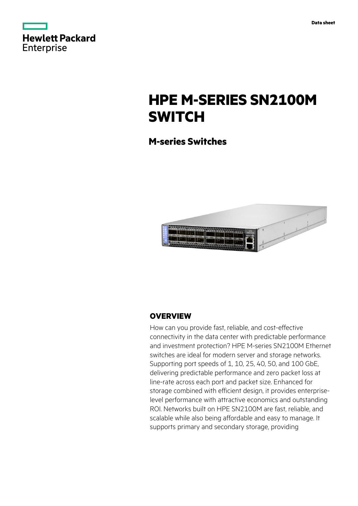

# **HPE M-SERIES SN2100M SWITCH**

## **M-series Switches**



## **OVERVIEW**

How can you provide fast, reliable, and cost-effective connectivity in the data center with predictable performance and investment protection? HPE M-series SN2100M Ethernet switches are ideal for modern server and storage networks. Supporting port speeds of 1, 10, 25, 40, 50, and 100 GbE, delivering predictable performance and zero packet loss at line-rate across each port and packet size. Enhanced for storage combined with efficient design, it provides enterpriselevel performance with attractive economics and outstanding ROI. Networks built on HPE SN2100M are fast, reliable, and scalable while also being affordable and easy to manage. It supports primary and secondary storage, providing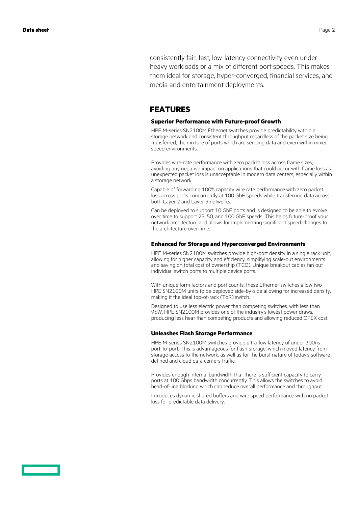consistently fair, fast, low-latency connectivity even under heavy workloads or a mix of different port speeds. This makes them ideal for storage, hyper-converged, financial services, and media and entertainment deployments.

### **FEATURES**

### **Superior Performance with Future-proof Growth**

HPE M-series SN2100M Ethernet switches provide predictability within a storage network and consistent throughput regardless of the packet size being transferred, the mixture of ports which are sending data and even within mixed speed environments.

Provides wire-rate performance with zero packet loss across frame sizes, avoiding any negative impact on applications that could occur with frame loss as unexpected packet loss is unacceptable in modern data centers, especially within a storage network.

Capable of forwarding 100% capacity wire rate performance with zero packet loss across ports concurrently at 100 GbE speeds while transferring data across both Layer 2 and Layer 3 networks.

Can be deployed to support 10 GbE ports and is designed to be able to evolve over time to support 25, 50, and 100 GbE speeds. This helps future-proof your network architecture and allows for implementing significant speed changes to the architecture over time.

### **Enhanced for Storage and Hyperconverged Environments**

HPE M-series SN2100M switches provide high-port density in a single rack unit, allowing for higher capacity and efficiency, simplifying scale-out environments and saving on total cost of ownership (TCO). Unique breakout cables fan out individual switch ports to multiple device ports.

With unique form factors and port counts, these Ethernet switches allow two HPE SN2100M units to be deployed side-by-side allowing for increased density, making it the ideal top-of-rack (ToR) switch.

Designed to use less electric power than competing switches, with less than 95W, HPE SN2100M provides one of the industry's lowest power draws, producing less heat than competing products and allowing reduced OPEX cost.

### **Unleashes Flash Storage Performance**

HPE M-series SN2100M switches provide ultra-low latency of under 300ns port-to-port. This is advantageous for flash storage, which moved latency from storage access to the network, as well as for the burst nature of today's softwaredefined and cloud data centers traffic.

Provides enough internal bandwidth that there is sufficient capacity to carry ports at 100 Gbps bandwidth concurrently. This allows the switches to avoid head-of-line blocking which can reduce overall performance and throughput.

Introduces dynamic shared buffers and wire speed performance with no packet loss for predictable data delivery.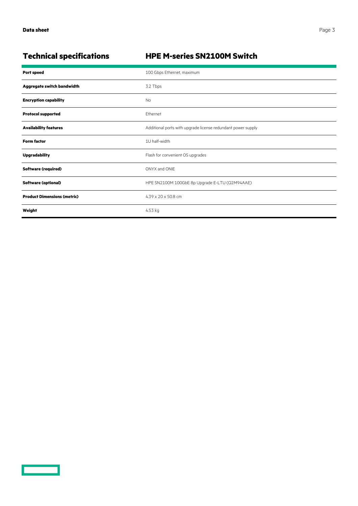<u>and</u>

## **Technical specifications HPE M-series SN2100M Switch**

| <b>Port speed</b>                  | 100 Gbps Ethernet, maximum                                   |
|------------------------------------|--------------------------------------------------------------|
| Aggregate switch bandwidth         | 3.2 Tbps                                                     |
| <b>Encryption capability</b>       | <b>No</b>                                                    |
| <b>Protocol supported</b>          | <b>Fthernet</b>                                              |
| <b>Availability features</b>       | Additional ports with upgrade license redundant power supply |
| <b>Form factor</b>                 | 1U half-width                                                |
| <b>Upgradability</b>               | Flash for convenient OS upgrades                             |
| <b>Software (required)</b>         | ONYX and ONIE                                                |
| <b>Software (optional)</b>         | HPE SN2100M 100GbE 8p Upgrade E-LTU (Q2M94AAE)               |
| <b>Product Dimensions (metric)</b> | $4.39 \times 20 \times 50.8$ cm                              |
| Weight                             | 4.53 kg                                                      |